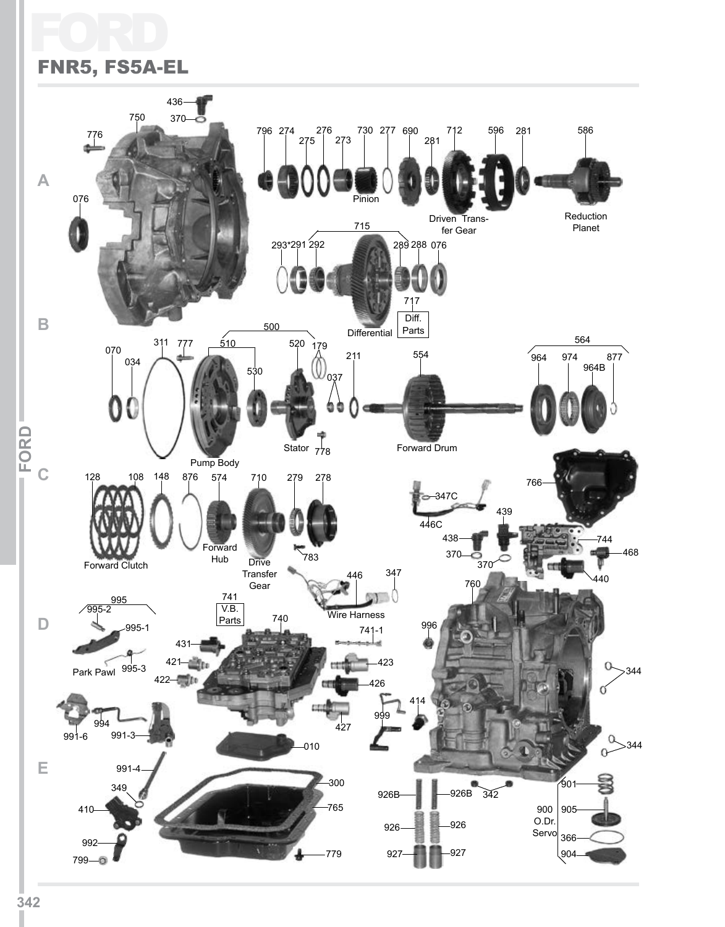# Ford FNR5, FS5A-EL

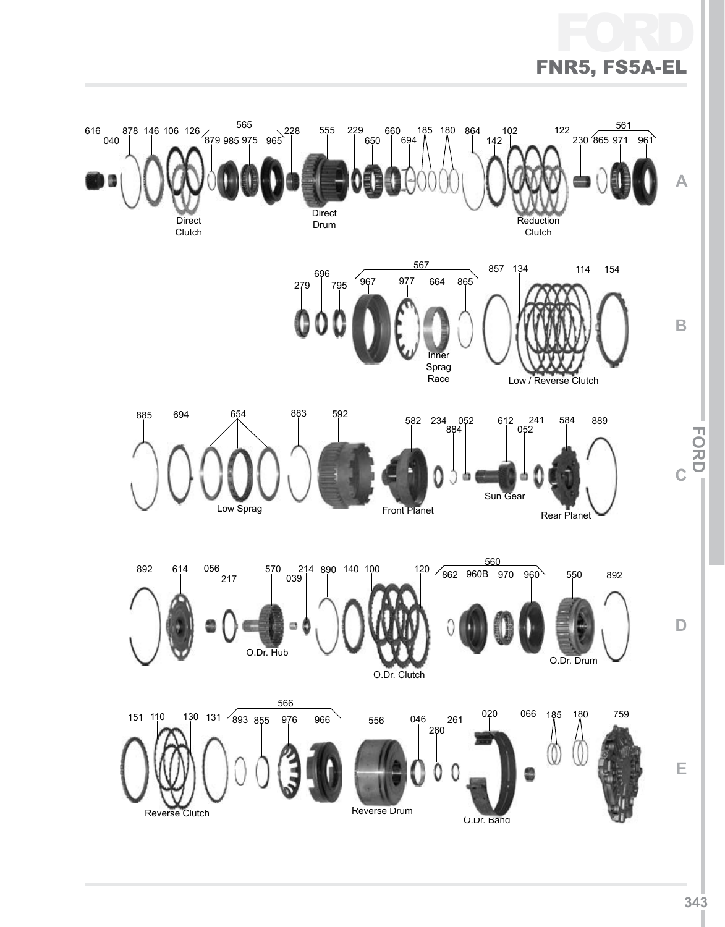# FC FNR5, FS5A-EL

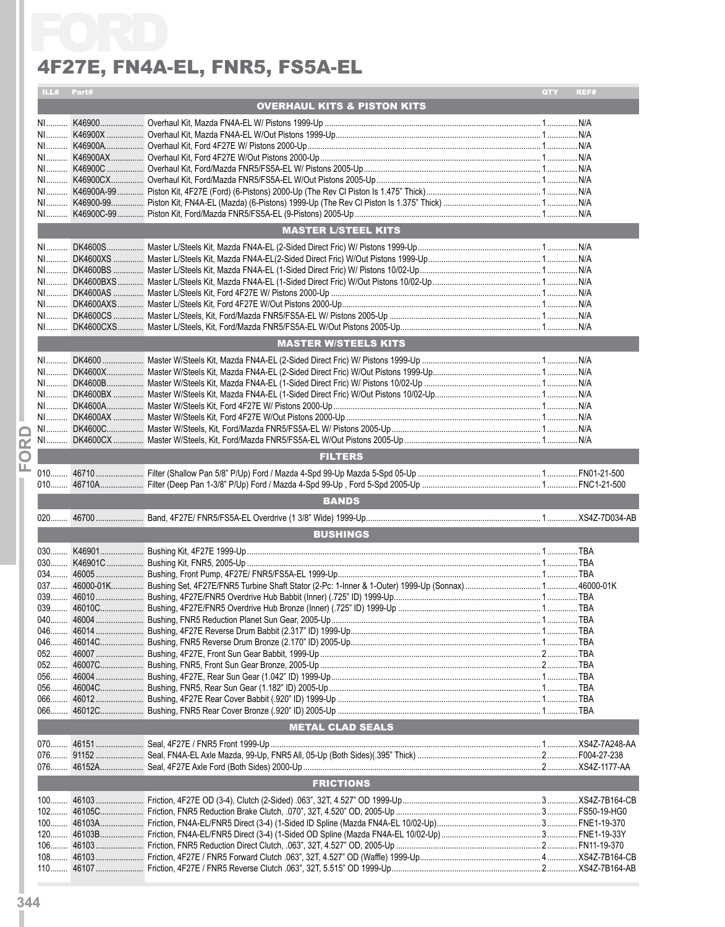|          |            | 4F27E, FN4A-EL, FNR5, FS5A-EL          |     |      |
|----------|------------|----------------------------------------|-----|------|
|          | ILL# Part# |                                        | QTY | REF# |
|          |            | <b>OVERHAUL KITS &amp; PISTON KITS</b> |     |      |
|          |            |                                        |     |      |
|          |            |                                        |     |      |
|          |            |                                        |     |      |
|          |            |                                        |     |      |
|          |            |                                        |     |      |
|          |            |                                        |     |      |
|          |            |                                        |     |      |
|          |            |                                        |     |      |
|          |            | <b>MASTER L/STEEL KITS</b>             |     |      |
|          |            |                                        |     |      |
|          |            |                                        |     |      |
|          |            |                                        |     |      |
|          |            |                                        |     |      |
|          |            |                                        |     |      |
|          |            |                                        |     |      |
|          |            |                                        |     |      |
|          |            | <b>MASTER W/STEELS KITS</b>            |     |      |
|          |            |                                        |     |      |
|          |            |                                        |     |      |
|          |            |                                        |     |      |
|          |            |                                        |     |      |
|          |            |                                        |     |      |
|          |            |                                        |     |      |
| $\alpha$ |            |                                        |     |      |
| O<br>ш.  |            | <b>FILTERS</b>                         |     |      |
|          |            |                                        |     |      |
|          |            | <b>BANDS</b>                           |     |      |
|          |            |                                        |     |      |
|          |            | <b>BUSHINGS</b>                        |     |      |
|          |            |                                        |     |      |
|          |            |                                        |     |      |
|          |            |                                        |     |      |
|          |            |                                        |     |      |
|          |            |                                        |     |      |
|          |            |                                        |     |      |
|          |            |                                        |     |      |
|          |            |                                        |     |      |
|          |            |                                        |     |      |
|          |            |                                        |     |      |
|          |            |                                        |     |      |
|          |            |                                        |     |      |
|          |            |                                        |     |      |
|          |            | METAL CLAD SEALS                       |     |      |
|          |            |                                        |     |      |
|          |            |                                        |     |      |
|          |            |                                        |     |      |
|          |            | <b>FRICTIONS</b>                       |     |      |
|          |            |                                        |     |      |
|          |            |                                        |     |      |
|          |            |                                        |     |      |
|          |            |                                        |     |      |
|          |            |                                        |     |      |
|          |            |                                        |     |      |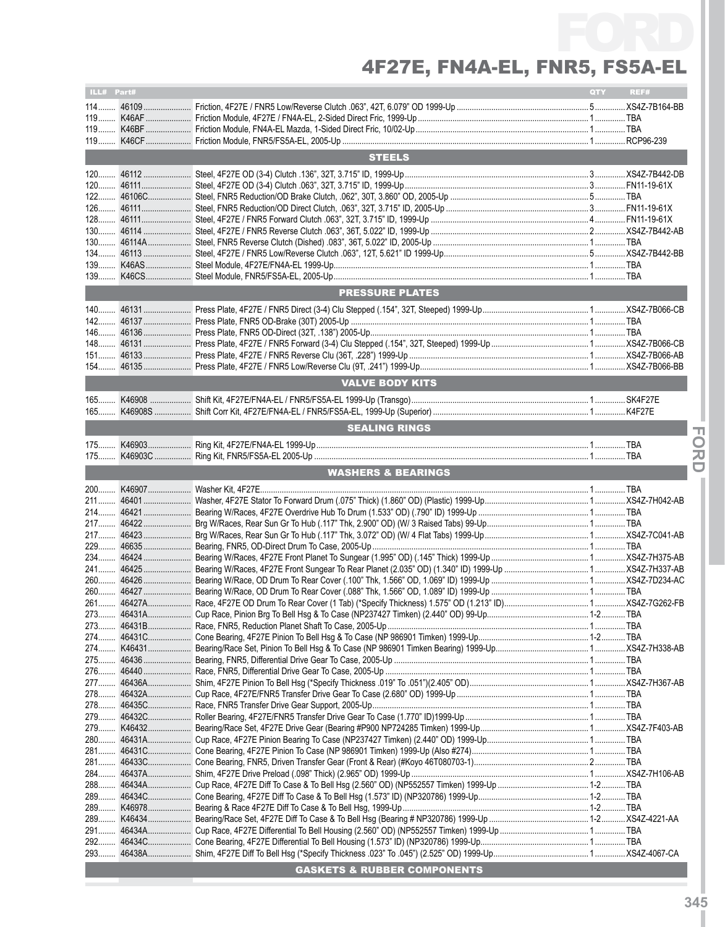| <b>STEELS</b><br><b>PRESSURE PLATES</b><br><b>VALVE BODY KITS</b><br><b>SEALING RINGS</b><br><b>WASHERS &amp; BEARINGS</b><br>46431A<br>273<br><b>GASKETS &amp; RUBBER COMPONENTS</b> | ILL# Part# |  |  | QTY <b>O</b> | REF# |  |  |
|---------------------------------------------------------------------------------------------------------------------------------------------------------------------------------------|------------|--|--|--------------|------|--|--|
|                                                                                                                                                                                       |            |  |  |              |      |  |  |
|                                                                                                                                                                                       |            |  |  |              |      |  |  |
|                                                                                                                                                                                       |            |  |  |              |      |  |  |
|                                                                                                                                                                                       |            |  |  |              |      |  |  |
|                                                                                                                                                                                       |            |  |  |              |      |  |  |
|                                                                                                                                                                                       |            |  |  |              |      |  |  |
|                                                                                                                                                                                       |            |  |  |              |      |  |  |
|                                                                                                                                                                                       |            |  |  |              |      |  |  |
|                                                                                                                                                                                       |            |  |  |              |      |  |  |
|                                                                                                                                                                                       |            |  |  |              |      |  |  |
|                                                                                                                                                                                       |            |  |  |              |      |  |  |
|                                                                                                                                                                                       |            |  |  |              |      |  |  |
|                                                                                                                                                                                       |            |  |  |              |      |  |  |
|                                                                                                                                                                                       |            |  |  |              |      |  |  |
|                                                                                                                                                                                       |            |  |  |              |      |  |  |
|                                                                                                                                                                                       |            |  |  |              |      |  |  |
|                                                                                                                                                                                       |            |  |  |              |      |  |  |
|                                                                                                                                                                                       |            |  |  |              |      |  |  |
|                                                                                                                                                                                       |            |  |  |              |      |  |  |
|                                                                                                                                                                                       |            |  |  |              |      |  |  |
|                                                                                                                                                                                       |            |  |  |              |      |  |  |
|                                                                                                                                                                                       |            |  |  |              |      |  |  |
|                                                                                                                                                                                       |            |  |  |              |      |  |  |
|                                                                                                                                                                                       |            |  |  |              |      |  |  |
|                                                                                                                                                                                       |            |  |  |              |      |  |  |
|                                                                                                                                                                                       |            |  |  |              |      |  |  |
|                                                                                                                                                                                       |            |  |  |              |      |  |  |
|                                                                                                                                                                                       |            |  |  |              |      |  |  |
|                                                                                                                                                                                       |            |  |  |              |      |  |  |
|                                                                                                                                                                                       |            |  |  |              |      |  |  |
|                                                                                                                                                                                       |            |  |  |              |      |  |  |
|                                                                                                                                                                                       |            |  |  |              |      |  |  |
|                                                                                                                                                                                       |            |  |  |              |      |  |  |
|                                                                                                                                                                                       |            |  |  |              |      |  |  |
|                                                                                                                                                                                       |            |  |  |              |      |  |  |
|                                                                                                                                                                                       |            |  |  |              |      |  |  |
|                                                                                                                                                                                       |            |  |  |              |      |  |  |
|                                                                                                                                                                                       |            |  |  |              |      |  |  |
|                                                                                                                                                                                       |            |  |  |              |      |  |  |
|                                                                                                                                                                                       |            |  |  |              |      |  |  |
|                                                                                                                                                                                       |            |  |  |              |      |  |  |
|                                                                                                                                                                                       |            |  |  |              |      |  |  |
|                                                                                                                                                                                       |            |  |  |              |      |  |  |
|                                                                                                                                                                                       |            |  |  |              |      |  |  |
|                                                                                                                                                                                       |            |  |  |              |      |  |  |
|                                                                                                                                                                                       |            |  |  |              |      |  |  |
|                                                                                                                                                                                       |            |  |  |              |      |  |  |
|                                                                                                                                                                                       |            |  |  |              |      |  |  |
|                                                                                                                                                                                       |            |  |  |              |      |  |  |
|                                                                                                                                                                                       |            |  |  |              |      |  |  |
|                                                                                                                                                                                       |            |  |  |              |      |  |  |
|                                                                                                                                                                                       |            |  |  |              |      |  |  |
|                                                                                                                                                                                       |            |  |  |              |      |  |  |
|                                                                                                                                                                                       |            |  |  |              |      |  |  |
|                                                                                                                                                                                       |            |  |  |              |      |  |  |
|                                                                                                                                                                                       |            |  |  |              |      |  |  |
|                                                                                                                                                                                       |            |  |  |              |      |  |  |
|                                                                                                                                                                                       |            |  |  |              |      |  |  |
|                                                                                                                                                                                       |            |  |  |              |      |  |  |
|                                                                                                                                                                                       |            |  |  |              |      |  |  |
|                                                                                                                                                                                       |            |  |  |              |      |  |  |
|                                                                                                                                                                                       |            |  |  |              |      |  |  |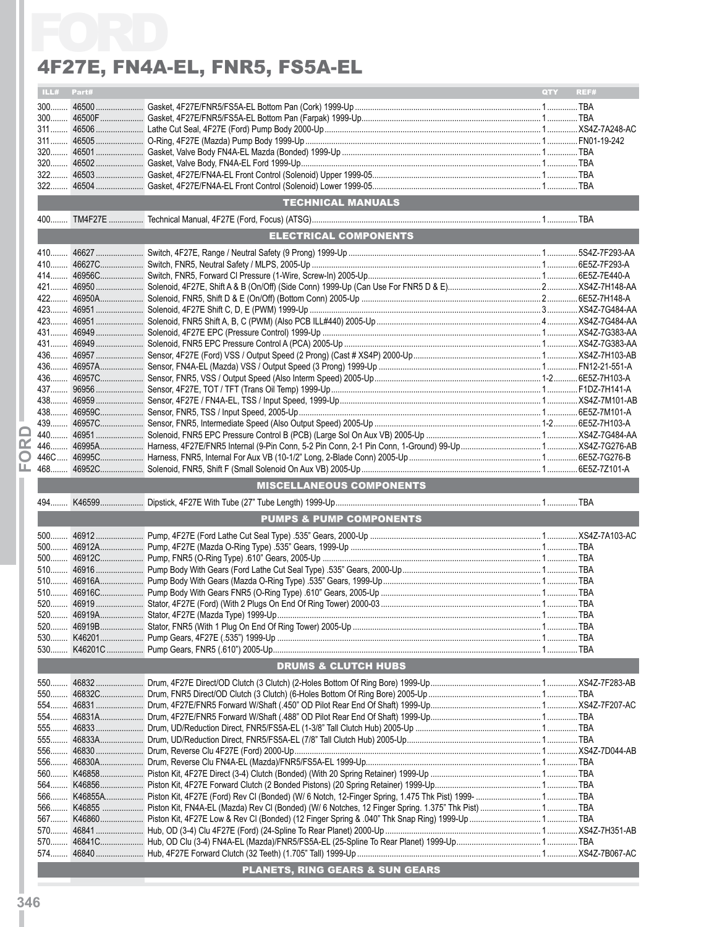|   |            | 4F27E, FN4A-EL, FNR5, FS5A-EL      |            |      |
|---|------------|------------------------------------|------------|------|
|   | ILL# Part# |                                    | <b>QTY</b> | REF# |
|   |            |                                    |            |      |
|   |            |                                    |            |      |
|   |            |                                    |            |      |
|   |            |                                    |            |      |
|   |            |                                    |            |      |
|   |            |                                    |            |      |
|   |            |                                    |            |      |
|   |            | <b>TECHNICAL MANUALS</b>           |            |      |
|   |            |                                    |            |      |
|   |            | ELECTRICAL COMPONENTS              |            |      |
|   |            |                                    |            |      |
|   |            |                                    |            |      |
|   |            |                                    |            |      |
|   |            |                                    |            |      |
|   |            |                                    |            |      |
|   |            |                                    |            |      |
|   |            |                                    |            |      |
|   |            |                                    |            |      |
|   |            |                                    |            |      |
|   |            |                                    |            |      |
|   |            |                                    |            |      |
|   |            |                                    |            |      |
|   |            |                                    |            |      |
|   |            |                                    |            |      |
| ▭ |            |                                    |            |      |
| œ |            |                                    |            |      |
| O |            |                                    |            |      |
| ட |            |                                    |            |      |
|   |            | <b>MISCELLANEOUS COMPONENTS</b>    |            |      |
|   |            |                                    |            |      |
|   |            | <b>PUMPS &amp; PUMP COMPONENTS</b> |            |      |
|   |            |                                    |            |      |
|   |            |                                    |            |      |
|   |            |                                    |            |      |
|   |            |                                    |            |      |
|   |            |                                    |            |      |
|   |            |                                    |            |      |
|   |            |                                    |            |      |
|   |            |                                    |            |      |
|   |            |                                    |            |      |
|   |            |                                    |            |      |
|   |            | <b>DRUMS &amp; CLUTCH HUBS</b>     |            |      |
|   |            |                                    |            |      |
|   |            |                                    |            |      |
|   |            |                                    |            |      |
|   |            |                                    |            |      |
|   |            |                                    |            |      |
|   |            |                                    |            |      |
|   |            |                                    |            |      |
|   |            |                                    |            |      |
|   |            |                                    |            |      |
|   |            |                                    |            |      |
|   |            |                                    |            |      |
|   |            |                                    |            |      |
|   |            |                                    |            |      |
|   |            |                                    |            |      |
|   |            |                                    |            |      |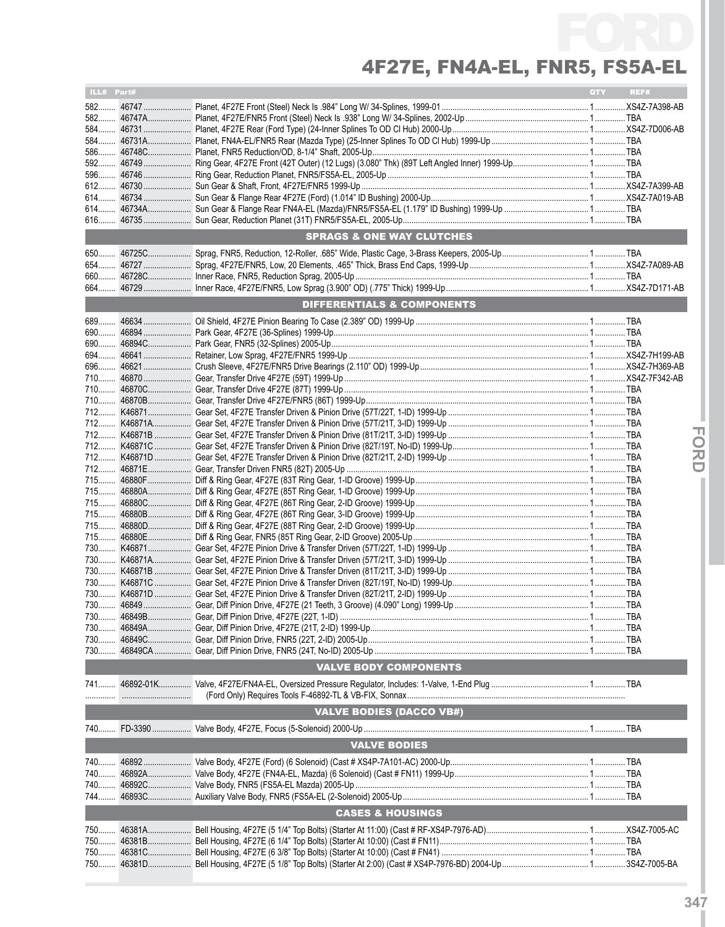| ILL# Part# |                                      | QTY | REF# |
|------------|--------------------------------------|-----|------|
|            |                                      |     |      |
|            |                                      |     |      |
|            |                                      |     |      |
|            |                                      |     |      |
|            |                                      |     |      |
|            |                                      |     |      |
| 596        |                                      |     |      |
|            |                                      |     |      |
|            |                                      |     |      |
|            |                                      |     |      |
|            |                                      |     |      |
|            | <b>SPRAGS &amp; ONE WAY CLUTCHES</b> |     |      |
|            |                                      |     |      |
|            |                                      |     |      |
|            |                                      |     |      |
|            |                                      |     |      |
|            | DIFFERENTIALS & COMPONENTS           |     |      |
|            |                                      |     |      |
|            |                                      |     |      |
|            |                                      |     |      |
|            |                                      |     |      |
|            |                                      |     |      |
|            |                                      |     |      |
|            |                                      |     |      |
|            |                                      |     |      |
|            |                                      |     |      |
|            |                                      |     |      |
|            |                                      |     |      |
|            |                                      |     |      |
|            |                                      |     |      |
|            |                                      |     |      |
|            |                                      |     |      |
|            |                                      |     |      |
|            |                                      |     |      |
| 715        |                                      |     |      |
|            |                                      |     |      |
|            |                                      |     |      |
|            |                                      |     |      |
|            |                                      |     |      |
|            |                                      |     |      |
|            |                                      |     |      |
|            |                                      |     |      |
|            |                                      |     |      |
| $730$      |                                      |     |      |
|            |                                      |     |      |
|            | <b>VALVE BODY COMPONENTS</b>         |     |      |
| 741        |                                      |     |      |
| .          |                                      |     |      |
|            | <b>VALVE BODIES (DACCO VB#)</b>      |     |      |
| 740        |                                      |     |      |
|            |                                      |     |      |
|            | <b>VALVE BODIES</b>                  |     |      |
| 740        |                                      |     |      |
| 740        |                                      |     |      |
| 740        |                                      |     |      |
| 744        |                                      |     |      |
|            | <b>CASES &amp; HOUSINGS</b>          |     |      |
|            |                                      |     |      |
| 750        |                                      |     |      |
| $750$      |                                      |     |      |
| 750        |                                      |     |      |

**IFor**

**dI**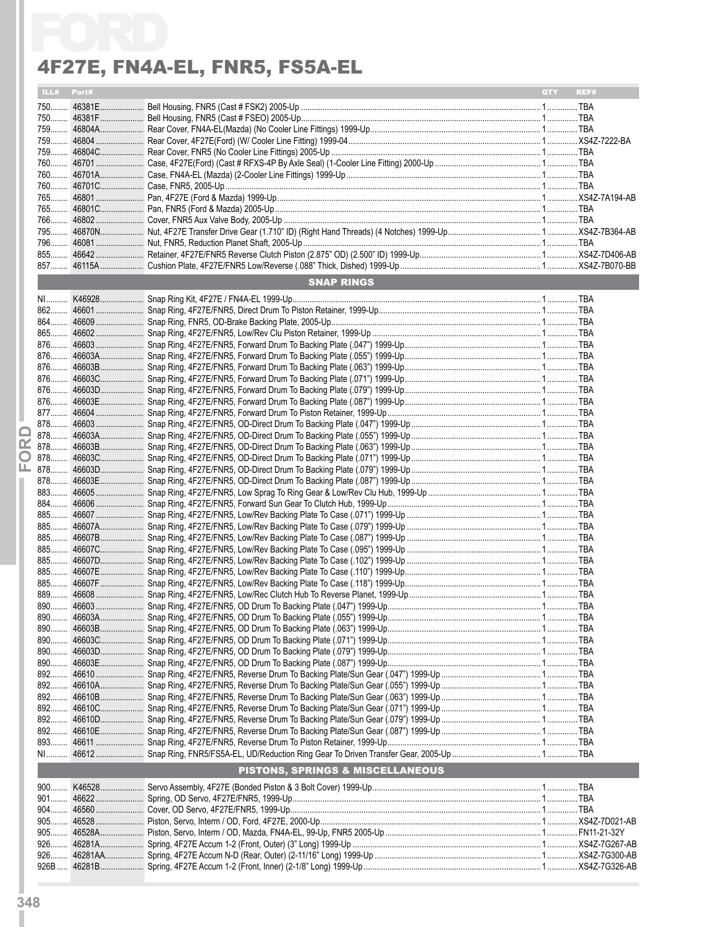|     |            | 4F27E, FN4A-EL, FNR5, FS5A-EL    |                    |
|-----|------------|----------------------------------|--------------------|
|     | ILL# Part# |                                  | REF#<br><b>OTY</b> |
|     |            |                                  |                    |
|     |            |                                  |                    |
|     |            |                                  |                    |
|     |            |                                  |                    |
|     |            |                                  |                    |
|     |            |                                  |                    |
|     |            |                                  |                    |
|     |            |                                  |                    |
|     |            |                                  |                    |
|     |            |                                  |                    |
|     |            |                                  |                    |
|     |            |                                  |                    |
|     |            |                                  |                    |
|     |            |                                  |                    |
|     |            | <b>SNAP RINGS</b>                |                    |
|     |            |                                  |                    |
|     |            |                                  |                    |
|     |            |                                  |                    |
|     |            |                                  |                    |
|     |            |                                  |                    |
|     |            |                                  |                    |
|     |            |                                  |                    |
|     |            |                                  |                    |
|     |            |                                  |                    |
|     |            |                                  |                    |
|     |            |                                  |                    |
|     |            |                                  |                    |
|     |            |                                  |                    |
|     |            |                                  |                    |
|     |            |                                  |                    |
|     |            |                                  |                    |
|     |            |                                  |                    |
|     |            |                                  |                    |
|     |            |                                  |                    |
|     |            |                                  |                    |
| 885 |            |                                  |                    |
|     |            |                                  |                    |
|     |            |                                  |                    |
|     |            |                                  |                    |
|     |            |                                  |                    |
|     |            |                                  |                    |
|     |            |                                  |                    |
|     |            |                                  |                    |
|     |            |                                  |                    |
|     |            |                                  |                    |
|     |            |                                  |                    |
|     |            |                                  |                    |
|     |            |                                  |                    |
|     |            |                                  |                    |
|     |            |                                  |                    |
|     |            |                                  |                    |
|     |            |                                  |                    |
|     |            |                                  |                    |
|     |            | PISTONS, SPRINGS & MISCELLANEOUS |                    |
|     |            |                                  |                    |
|     |            |                                  |                    |
|     |            |                                  |                    |
|     |            |                                  |                    |
|     |            |                                  |                    |
|     |            |                                  |                    |
|     |            |                                  |                    |
|     |            |                                  |                    |